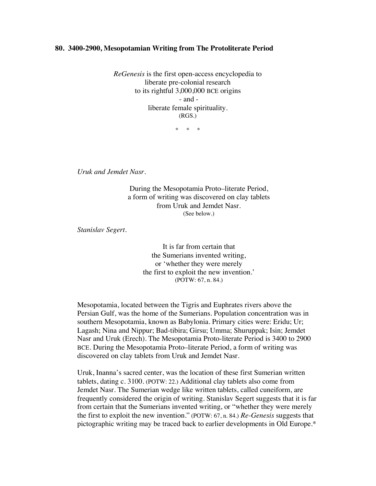## **80. 3400-2900, Mesopotamian Writing from The Protoliterate Period**

*ReGenesis* is the first open-access encyclopedia to liberate pre-colonial research to its rightful 3,000,000 BCE origins - and liberate female spirituality. (RGS.)

\* \* \*

*Uruk and Jemdet Nasr.*

During the Mesopotamia Proto–literate Period, a form of writing was discovered on clay tablets from Uruk and Jemdet Nasr. (See below.)

*Stanislav Segert.*

It is far from certain that the Sumerians invented writing, or 'whether they were merely the first to exploit the new invention.' (POTW: 67, n. 84.)

Mesopotamia, located between the Tigris and Euphrates rivers above the Persian Gulf, was the home of the Sumerians. Population concentration was in southern Mesopotamia, known as Babylonia. Primary cities were: Eridu; Ur; Lagash; Nina and Nippur; Bad-tibira; Girsu; Umma; Shuruppak; Isin; Jemdet Nasr and Uruk (Erech). The Mesopotamia Proto-literate Period is 3400 to 2900 BCE. During the Mesopotamia Proto–literate Period, a form of writing was discovered on clay tablets from Uruk and Jemdet Nasr.

Uruk, Inanna's sacred center, was the location of these first Sumerian written tablets, dating c. 3100. (POTW: 22.) Additional clay tablets also come from Jemdet Nasr. The Sumerian wedge like written tablets, called cuneiform, are frequently considered the origin of writing. Stanislav Segert suggests that it is far from certain that the Sumerians invented writing, or "whether they were merely the first to exploit the new invention." (POTW: 67, n. 84.) *Re-Genesis* suggests that pictographic writing may be traced back to earlier developments in Old Europe.\*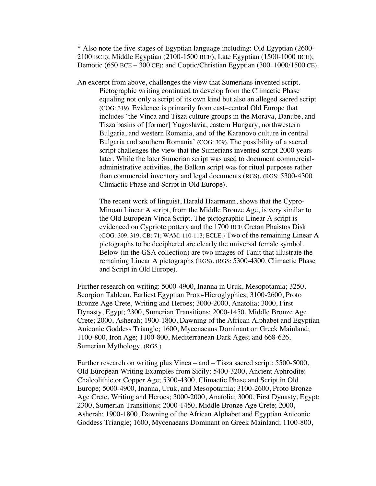\* Also note the five stages of Egyptian language including: Old Egyptian (2600- 2100 BCE); Middle Egyptian (2100-1500 BCE); Late Egyptian (1500-1000 BCE); Demotic (650 BCE – 300 CE); and Coptic/Christian Egyptian (300 -1000/1500 CE).

An excerpt from above, challenges the view that Sumerians invented script. Pictographic writing continued to develop from the Climactic Phase equaling not only a script of its own kind but also an alleged sacred script (COG: 319). Evidence is primarily from east–central Old Europe that includes 'the Vinca and Tisza culture groups in the Morava, Danube, and Tisza basins of [former] Yugoslavia, eastern Hungary, northwestern Bulgaria, and western Romania, and of the Karanovo culture in central Bulgaria and southern Romania' (COG: 309). The possibility of a sacred script challenges the view that the Sumerians invented script 2000 years later. While the later Sumerian script was used to document commercialadministrative activities, the Balkan script was for ritual purposes rather than commercial inventory and legal documents (RGS). (RGS: 5300-4300 Climactic Phase and Script in Old Europe).

The recent work of linguist, Harald Haarmann, shows that the Cypro-Minoan Linear A script, from the Middle Bronze Age, is very similar to the Old European Vinca Script. The pictographic Linear A script is evidenced on Cypriote pottery and the 1700 BCE Cretan Phaistos Disk (COG: 309, 319; CB: 71; WAM: 110-113; ECLE.) Two of the remaining Linear A pictographs to be deciphered are clearly the universal female symbol. Below (in the GSA collection) are two images of Tanit that illustrate the remaining Linear A pictographs (RGS). (RGS: 5300-4300, Climactic Phase and Script in Old Europe).

Further research on writing: 5000-4900, Inanna in Uruk, Mesopotamia; 3250, Scorpion Tableau, Earliest Egyptian Proto-Hieroglyphics; 3100-2600, Proto Bronze Age Crete, Writing and Heroes; 3000-2000, Anatolia; 3000, First Dynasty, Egypt; 2300, Sumerian Transitions; 2000-1450, Middle Bronze Age Crete; 2000, Asherah; 1900-1800, Dawning of the African Alphabet and Egyptian Aniconic Goddess Triangle; 1600, Mycenaeans Dominant on Greek Mainland; 1100-800, Iron Age; 1100-800, Mediterranean Dark Ages; and 668-626, Sumerian Mythology. (RGS.)

Further research on writing plus Vinca – and – Tisza sacred script: 5500-5000, Old European Writing Examples from Sicily; 5400-3200, Ancient Aphrodite: Chalcolithic or Copper Age; 5300-4300, Climactic Phase and Script in Old Europe; 5000-4900, Inanna, Uruk, and Mesopotamia; 3100-2600, Proto Bronze Age Crete, Writing and Heroes; 3000-2000, Anatolia; 3000, First Dynasty, Egypt; 2300, Sumerian Transitions; 2000-1450, Middle Bronze Age Crete; 2000, Asherah; 1900-1800, Dawning of the African Alphabet and Egyptian Aniconic Goddess Triangle; 1600, Mycenaeans Dominant on Greek Mainland; 1100-800,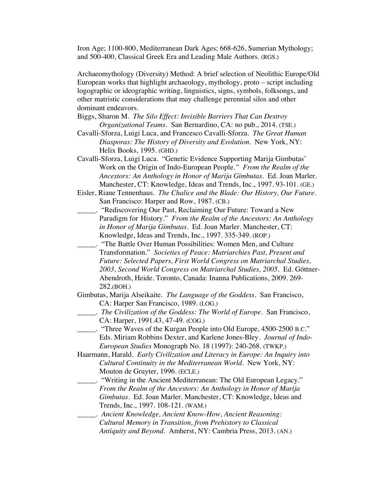Iron Age; 1100-800, Mediterranean Dark Ages; 668-626, Sumerian Mythology; and 500-400, Classical Greek Era and Leading Male Authors. (RGS.)

Archaeomythology (Diversity) Method: A brief selection of Neolithic Europe/Old European works that highlight archaeology, mythology, proto – script including logographic or ideographic writing, linguistics, signs, symbols, folksongs, and other matristic considerations that may challenge perennial silos and other dominant endeavors.

- Biggs, Sharon M. *The Silo Effect: Invisible Barriers That Can Destroy Organizational Teams*. San Bernardino, CA: no pub., 2014. (TSE.)
- Cavalli-Sforza, Luigi Luca, and Francesco Cavalli-Sforza. *The Great Human Diasporas: The History of Diversity and Evolution*. New York, NY: Helix Books, 1995. (GHD.)
- Cavalli-Sforza, Luigi Luca. "Genetic Evidence Supporting Marija Gimbutas' Work on the Origin of Indo-European People*." From the Realm of the Ancestors: An Anthology in Honor of Marija Gimbutas*. Ed. Joan Marler. Manchester, CT: Knowledge, Ideas and Trends, Inc., 1997. 93-101. (GE.)
- Eisler, Riane Tennenhaus. *The Chalice and the Blade: Our History, Our Future.* San Francisco: Harper and Row, 1987. (CB.)
- \_\_\_\_\_. "Rediscovering Our Past, Reclaiming Our Future: Toward a New Paradigm for History." *From the Realm of the Ancestors: An Anthology in Honor of Marija Gimbutas.* Ed. Joan Marler. Manchester, CT: Knowledge, Ideas and Trends, Inc., 1997. 335-349. (ROP.)
- \_\_\_\_\_. "The Battle Over Human Possibilities: Women Men, and Culture Transformation." *Societies of Peace: Matriarchies Past, Present and Future: Selected Papers, First World Congress on Matriarchal Studies, 2003, Second World Congress on Matriarchal Studies, 2005*. Ed. Göttner-Abendroth, Heide. Toronto, Canada: Inanna Publications, 2009. 269- 282.(BOH.)
- Gimbutas, Marija Alseikaite. *The Language of the Goddess*. San Francisco, CA: Harper San Francisco, 1989. (LOG.)
- \_\_\_\_\_. *The Civilization of the Goddess: The World of Europe*. San Francisco, CA: Harper, 1991.43, 47-49. (COG.)
- \_\_\_\_\_. "Three Waves of the Kurgan People into Old Europe, 4500-2500 B.C." Eds. Miriam Robbins Dexter, and Karlene Jones-Bley. *Journal of Indo-European Studies* Monograph No. 18 (1997): 240-268. (TWKP.)
- Haarmann, Harald. *Early Civilization and Literacy in Europe: An Inquiry into Cultural Continuity in the Mediterranean World.* New York, NY: Mouton de Gruyter, 1996. (ECLE.)
	- \_\_\_\_\_. "Writing in the Ancient Mediterranean: The Old European Legacy." *From the Realm of the Ancestors: An Anthology in Honor of Marija Gimbutas*. Ed. Joan Marler. Manchester, CT: Knowledge, Ideas and Trends, Inc., 1997. 108-121. (WAM.)
- \_\_\_\_\_. *Ancient Knowledge, Ancient Know-How, Ancient Reasoning: Cultural Memory in Transition, from Prehistory to Classical Antiquity and Beyond*. Amherst, NY: Cambria Press, 2013. (AN.)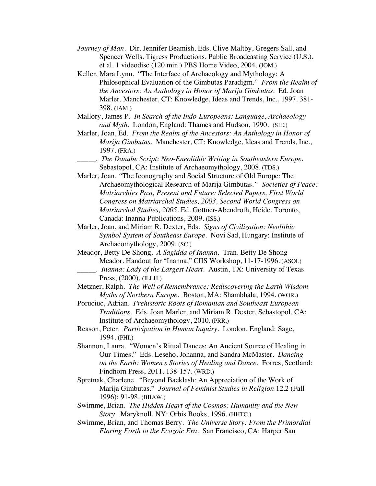- *Journey of Man.* Dir. Jennifer Beamish. Eds. Clive Maltby, Gregers Sall, and Spencer Wells. Tigress Productions, Public Broadcasting Service (U.S.), et al. 1 videodisc (120 min.) PBS Home Video, 2004. (JOM.)
- Keller, Mara Lynn. "The Interface of Archaeology and Mythology: A Philosophical Evaluation of the Gimbutas Paradigm." *From the Realm of the Ancestors: An Anthology in Honor of Marija Gimbutas*. Ed. Joan Marler. Manchester, CT: Knowledge, Ideas and Trends, Inc., 1997. 381- 398. (IAM.)
- Mallory, James P. *In Search of the Indo-Europeans: Language, Archaeology and Myth*. London, England: Thames and Hudson, 1990. (SIE.)
- Marler, Joan, Ed. *From the Realm of the Ancestors: An Anthology in Honor of Marija Gimbutas*. Manchester, CT: Knowledge, Ideas and Trends, Inc., 1997. (FRA.)
	- \_\_\_\_\_. *The Danube Script: Neo-Eneolithic Writing in Southeastern Europe.*  Sebastopol, CA: Institute of Archaeomythology, 2008. (TDS.)
- Marler, Joan. *"*The Iconography and Social Structure of Old Europe: The Archaeomythological Research of Marija Gimbutas*." Societies of Peace: Matriarchies Past, Present and Future: Selected Papers, First World Congress on Matriarchal Studies, 2003, Second World Congress on Matriarchal Studies, 2005*. Ed. Göttner-Abendroth, Heide. Toronto, Canada: Inanna Publications, 2009. (ISS.)
- Marler, Joan, and Miriam R. Dexter, Eds. *Signs of Civilization: Neolithic Symbol System of Southeast Europe*. Novi Sad, Hungary: Institute of Archaeomythology, 2009. (SC.)
- Meador, Betty De Shong. *A Sagidda of Inanna*. Tran. Betty De Shong Meador. Handout for "Inanna," CIIS Workshop, 11-17-1996. (ASOI.) \_\_\_\_\_. *Inanna: Lady of the Largest Heart*. Austin, TX: University of Texas Press, (2000). (ILLH.)
- Metzner, Ralph. *The Well of Remembrance: Rediscovering the Earth Wisdom Myths of Northern Europe.* Boston, MA: Shambhala, 1994. (WOR.)
- Poruciuc, Adrian. *Prehistoric Roots of Romanian and Southeast European Traditions*. Eds. Joan Marler, and Miriam R. Dexter. Sebastopol, CA: Institute of Archaeomythology, 2010. (PRR.)
- Reason, Peter. *Participation in Human Inquiry*. London, England: Sage, 1994. (PHI.)
- Shannon, Laura. "Women's Ritual Dances: An Ancient Source of Healing in Our Times." Eds. Leseho, Johanna, and Sandra McMaster. *Dancing on the Earth: Women's Stories of Healing and Dance*. Forres, Scotland: Findhorn Press, 2011. 138-157. (WRD.)
- Spretnak, Charlene. "Beyond Backlash: An Appreciation of the Work of Marija Gimbutas." *Journal of Feminist Studies in Religion* 12.2 (Fall 1996): 91-98. (BBAW.)
- Swimme, Brian. *The Hidden Heart of the Cosmos: Humanity and the New Story*. Maryknoll, NY: Orbis Books, 1996. (HHTC.)
- Swimme, Brian, and Thomas Berry*. The Universe Story: From the Primordial Flaring Forth to the Ecozoic Era.* San Francisco, CA: Harper San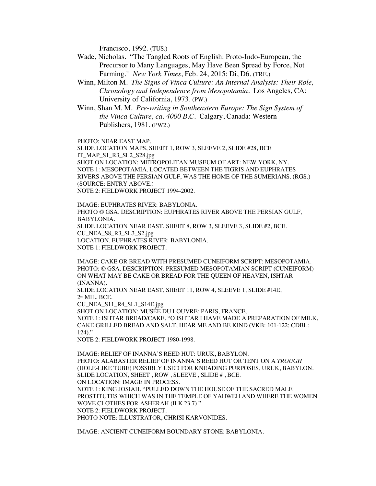Francisco, 1992. (TUS.)

- Wade, Nicholas. "The Tangled Roots of English: Proto-Indo-European, the Precursor to Many Languages, May Have Been Spread by Force, Not Farming." *New York Times*, Feb. 24, 2015: Di, D6. (TRE.)
- Winn, Milton M. *The Signs of Vinca Culture: An Internal Analysis: Their Role, Chronology and Independence from Mesopotamia*. Los Angeles, CA: University of California, 1973. (PW.)
- Winn, Shan M. M. *Pre-writing in Southeastern Europe: The Sign System of the Vinca Culture, ca. 4000 B.C.* Calgary, Canada: Western Publishers, 1981. (PW2.)

PHOTO: NEAR EAST MAP.

SLIDE LOCATION MAPS, SHEET 1, ROW 3, SLEEVE 2, SLIDE #28, BCE IT\_MAP\_S1\_R3\_SL2\_S28.jpg SHOT ON LOCATION: METROPOLITAN MUSEUM OF ART: NEW YORK, NY. NOTE 1: MESOPOTAMIA, LOCATED BETWEEN THE TIGRIS AND EUPHRATES RIVERS ABOVE THE PERSIAN GULF, WAS THE HOME OF THE SUMERIANS. (RGS.) (SOURCE: ENTRY ABOVE.) NOTE 2: FIELDWORK PROJECT 1994-2002.

IMAGE: EUPHRATES RIVER: BABYLONIA. PHOTO © GSA. DESCRIPTION: EUPHRATES RIVER ABOVE THE PERSIAN GULF, BABYLONIA. SLIDE LOCATION NEAR EAST, SHEET 8, ROW 3, SLEEVE 3, SLIDE #2, BCE. CU\_NEA\_S8\_R3\_SL3\_S2.jpg LOCATION. EUPHRATES RIVER: BABYLONIA. NOTE 1: FIELDWORK PROJECT.

IMAGE: CAKE OR BREAD WITH PRESUMED CUNEIFORM SCRIPT: MESOPOTAMIA. PHOTO: © GSA. DESCRIPTION: PRESUMED MESOPOTAMIAN SCRIPT (CUNEIFORM) ON WHAT MAY BE CAKE OR BREAD FOR THE QUEEN OF HEAVEN, ISHTAR (INANNA).

SLIDE LOCATION NEAR EAST, SHEET 11, ROW 4, SLEEVE 1, SLIDE #14E,  $2^{\text{ND}}$  MIL. BCE.

CU\_NEA\_S11\_R4\_SL1\_S14E.jpg

SHOT ON LOCATION: MUSÉE DU LOUVRE: PARIS, FRANCE.

NOTE 1: ISHTAR BREAD/CAKE. "O ISHTAR I HAVE MADE A PREPARATION OF MILK, CAKE GRILLED BREAD AND SALT, HEAR ME AND BE KIND (VKB: 101-122; CDBL:  $124$ )."

NOTE 2: FIELDWORK PROJECT 1980-1998.

IMAGE: RELIEF OF INANNA'S REED HUT: URUK, BABYLON. PHOTO: ALABASTER RELIEF OF INANNA'S REED HUT OR TENT ON A *TROUGH* (HOLE-LIKE TUBE) POSSIBLY USED FOR KNEADING PURPOSES, URUK, BABYLON. SLIDE LOCATION, SHEET , ROW , SLEEVE , SLIDE # , BCE. ON LOCATION: IMAGE IN PROCESS. NOTE 1: KING JOSIAH. "PULLED DOWN THE HOUSE OF THE SACRED MALE PROSTITUTES WHICH WAS IN THE TEMPLE OF YAHWEH AND WHERE THE WOMEN WOVE CLOTHES FOR ASHERAH (II K 23.7)." NOTE 2: FIELDWORK PROJECT. PHOTO NOTE: ILLUSTRATOR, CHRISI KARVONIDES.

IMAGE: ANCIENT CUNEIFORM BOUNDARY STONE: BABYLONIA.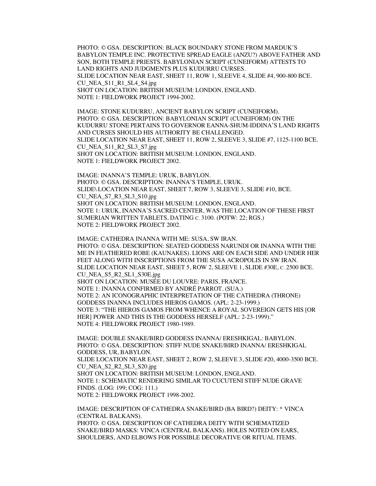PHOTO: © GSA. DESCRIPTION: BLACK BOUNDARY STONE FROM MARDUK'S BABYLON TEMPLE INC. PROTECTIVE SPREAD EAGLE (ANZU?) ABOVE FATHER AND SON, BOTH TEMPLE PRIESTS. BABYLONIAN SCRIPT (CUNEIFORM) ATTESTS TO LAND RIGHTS AND JUDGMENTS PLUS KUDURRU CURSES. SLIDE LOCATION NEAR EAST, SHEET 11, ROW 1, SLEEVE 4, SLIDE #4, 900-800 BCE. CU\_NEA\_S11\_R1\_SL4\_S4.jpg SHOT ON LOCATION: BRITISH MUSEUM: LONDON, ENGLAND. NOTE 1: FIELDWORK PROJECT 1994-2002.

IMAGE: STONE KUDURRU, ANCIENT BABYLON SCRIPT (CUNEIFORM). PHOTO: © GSA. DESCRIPTION: BABYLONIAN SCRIPT (CUNEIFORM) ON THE KUDURRU STONE PERTAINS TO GOVERNOR EANNA-SHUM-IDDINA'S LAND RIGHTS AND CURSES SHOULD HIS AUTHORITY BE CHALLENGED. SLIDE LOCATION NEAR EAST, SHEET 11, ROW 2, SLEEVE 3, SLIDE #7, 1125-1100 BCE. CU\_NEA\_S11\_R2\_SL3\_S7.jpg SHOT ON LOCATION: BRITISH MUSEUM: LONDON, ENGLAND. NOTE 1: FIELDWORK PROJECT 2002.

IMAGE: INANNA'S TEMPLE: URUK, BABYLON. PHOTO: © GSA. DESCRIPTION: INANNA'S TEMPLE, URUK. SLIDE\ LOCATION NEAR EAST, SHEET 7, ROW 3, SLEEVE 3, SLIDE #10, BCE. CU\_NEA\_S7\_R3\_SL3\_S10.jpg SHOT ON LOCATION: BRITISH MUSEUM: LONDON, ENGLAND. NOTE 1: URUK, INANNA'S SACRED CENTER, WAS THE LOCATION OF THESE FIRST SUMERIAN WRITTEN TABLETS, DATING C. 3100. (POTW: 22; RGS.) NOTE 2: FIELDWORK PROJECT 2002.

IMAGE: CATHEDRA INANNA WITH ME: SUSA, SW IRAN. PHOTO: © GSA. DESCRIPTION: SEATED GODDESS NARUNDI OR INANNA WITH THE ME IN FEATHERED ROBE (KAUNAKES). LIONS ARE ON EACH SIDE AND UNDER HER FEET ALONG WITH INSCRIPTIONS FROM THE SUSA ACROPOLIS IN SW IRAN. SLIDE LOCATION NEAR EAST, SHEET 5, ROW 2, SLEEVE 1, SLIDE #30E, C. 2500 BCE. CU\_NEA\_S5\_R2\_SL1\_S30E.jpg SHOT ON LOCATION: MUSÉE DU LOUVRE: PARIS, FRANCE. NOTE 1: INANNA CONFIRMED BY ANDRÉ PARROT. (SUA.) NOTE 2: AN ICONOGRAPHIC INTERPRETATION OF THE CATHEDRA (THRONE) GODDESS INANNA INCLUDES HIEROS GAMOS. (APL: 2-23-1999.) NOTE 3: "THE HIEROS GAMOS FROM WHENCE A ROYAL SOVEREIGN GETS HIS [OR HER] POWER AND THIS IS THE GODDESS HERSELF (APL: 2-23-1999)." NOTE 4: FIELDWORK PROJECT 1980-1989.

IMAGE: DOUBLE SNAKE/BIRD GODDESS INANNA/ ERESHKIGAL: BABYLON. PHOTO: © GSA. DESCRIPTION: STIFF NUDE SNAKE/BIRD INANNA/ ERESHKIGAL GODDESS, UR, BABYLON. SLIDE LOCATION NEAR EAST, SHEET 2, ROW 2, SLEEVE 3, SLIDE #20, 4000-3500 BCE. CU\_NEA\_S2\_R2\_SL3\_S20.jpg SHOT ON LOCATION: BRITISH MUSEUM: LONDON, ENGLAND. NOTE 1: SCHEMATIC RENDERING SIMILAR TO CUCUTENI STIFF NUDE GRAVE FINDS. (LOG: 199; COG: 111.) NOTE 2: FIELDWORK PROJECT 1998-2002.

IMAGE: DESCRIPTION OF CATHEDRA SNAKE/BIRD (BA BIRD?) DEITY: \* VINCA (CENTRAL BALKANS). PHOTO: © GSA. DESCRIPTION OF CATHEDRA DEITY WITH SCHEMATIZED SNAKE/BIRD MASKS: VINCA (CENTRAL BALKANS). HOLES NOTED ON EARS, SHOULDERS, AND ELBOWS FOR POSSIBLE DECORATIVE OR RITUAL ITEMS.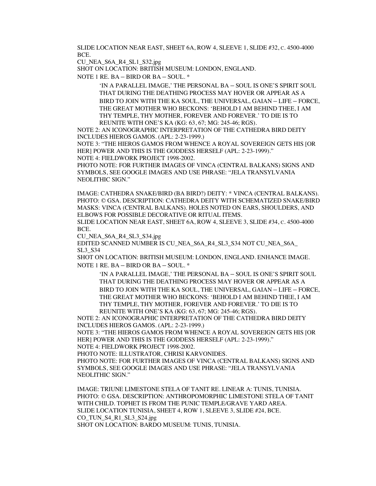SLIDE LOCATION NEAR EAST, SHEET 6A, ROW 4, SLEEVE 1, SLIDE #32, C. 4500-4000 BCE.

CU\_NEA\_S6A\_R4\_SL1\_S32.jpg

SHOT ON LOCATION: BRITISH MUSEUM: LONDON, ENGLAND.

NOTE 1 RE. BA – BIRD OR BA – SOUL. \*

'IN A PARALLEL IMAGE,' THE PERSONAL BA – SOUL IS ONE'S SPIRIT SOUL THAT DURING THE DEATHING PROCESS MAY HOVER OR APPEAR AS A BIRD TO JOIN WITH THE KA SOUL, THE UNIVERSAL, GAIAN – LIFE – FORCE, THE GREAT MOTHER WHO BECKONS: 'BEHOLD I AM BEHIND THEE, I AM THY TEMPLE, THY MOTHER, FOREVER AND FOREVER.' TO DIE IS TO REUNITE WITH ONE'S KA (KG: 63, 67; MG: 245-46; RGS).

NOTE 2: AN ICONOGRAPHIC INTERPRETATION OF THE CATHEDRA BIRD DEITY INCLUDES HIEROS GAMOS. (APL: 2-23-1999.)

NOTE 3: "THE HIEROS GAMOS FROM WHENCE A ROYAL SOVEREIGN GETS HIS [OR HER] POWER AND THIS IS THE GODDESS HERSELF (APL: 2-23-1999)." NOTE 4: FIELDWORK PROJECT 1998-2002.

PHOTO NOTE: FOR FURTHER IMAGES OF VINCA (CENTRAL BALKANS) SIGNS AND SYMBOLS, SEE GOOGLE IMAGES AND USE PHRASE: "JELA TRANSYLVANIA NEOLITHIC SIGN."

IMAGE: CATHEDRA SNAKE/BIRD (BA BIRD?) DEITY: \* VINCA (CENTRAL BALKANS). PHOTO: © GSA. DESCRIPTION: CATHEDRA DEITY WITH SCHEMATIZED SNAKE/BIRD MASKS: VINCA (CENTRAL BALKANS). HOLES NOTED ON EARS, SHOULDERS, AND ELBOWS FOR POSSIBLE DECORATIVE OR RITUAL ITEMS.

SLIDE LOCATION NEAR EAST, SHEET 6A, ROW 4, SLEEVE 3, SLIDE #34, C. 4500-4000 BCE.

CU\_NEA\_S6A\_R4\_SL3\_S34.jpg

EDITED SCANNED NUMBER IS CU\_NEA\_S6A\_R4\_SL3\_S34 NOT CU\_NEA\_S6A\_ SL3\_S34

SHOT ON LOCATION: BRITISH MUSEUM: LONDON, ENGLAND. ENHANCE IMAGE. NOTE 1 RE. BA – BIRD OR BA – SOUL. \*

'IN A PARALLEL IMAGE,' THE PERSONAL BA – SOUL IS ONE'S SPIRIT SOUL THAT DURING THE DEATHING PROCESS MAY HOVER OR APPEAR AS A BIRD TO JOIN WITH THE KA SOUL, THE UNIVERSAL, GAIAN – LIFE – FORCE, THE GREAT MOTHER WHO BECKONS: 'BEHOLD I AM BEHIND THEE, I AM THY TEMPLE, THY MOTHER, FOREVER AND FOREVER.' TO DIE IS TO REUNITE WITH ONE'S KA (KG: 63, 67; MG: 245-46; RGS).

NOTE 2: AN ICONOGRAPHIC INTERPRETATION OF THE CATHEDRA BIRD DEITY INCLUDES HIEROS GAMOS. (APL: 2-23-1999.)

NOTE 3: "THE HIEROS GAMOS FROM WHENCE A ROYAL SOVEREIGN GETS HIS [OR HER] POWER AND THIS IS THE GODDESS HERSELF (APL: 2-23-1999)."

NOTE 4: FIELDWORK PROJECT 1998-2002.

PHOTO NOTE: ILLUSTRATOR, CHRISI KARVONIDES.

PHOTO NOTE: FOR FURTHER IMAGES OF VINCA (CENTRAL BALKANS) SIGNS AND SYMBOLS, SEE GOOGLE IMAGES AND USE PHRASE: "JELA TRANSYLVANIA NEOLITHIC SIGN."

IMAGE: TRIUNE LIMESTONE STELA OF TANIT RE. LINEAR A: TUNIS, TUNISIA. PHOTO: © GSA. DESCRIPTION: ANTHROPOMORPHIC LIMESTONE STELA OF TANIT WITH CHILD. TOPHET IS FROM THE PUNIC TEMPLE/GRAVE YARD AREA. SLIDE LOCATION TUNISIA, SHEET 4, ROW 1, SLEEVE 3, SLIDE #24, BCE. CO\_TUN\_S4\_R1\_SL3\_S24.jpg SHOT ON LOCATION: BARDO MUSEUM: TUNIS, TUNISIA.